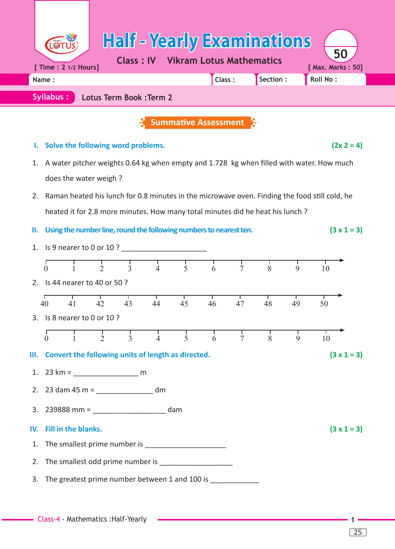|     |                                                                                              |                                                                                               | <b>Half - Yearly Examinations</b><br><b>Class: IV</b> |                |    | <b>Vikram Lotus Mathematics</b> |                |    |    | 50 |                    |
|-----|----------------------------------------------------------------------------------------------|-----------------------------------------------------------------------------------------------|-------------------------------------------------------|----------------|----|---------------------------------|----------------|----|----|----|--------------------|
|     | [ Time : 2 1/2 Hours]<br>[ Max. Marks: 50]<br>Section:<br><b>Roll No:</b><br>Class:<br>Name: |                                                                                               |                                                       |                |    |                                 |                |    |    |    |                    |
|     | Syllabus:                                                                                    | Lotus Term Book : Term 2                                                                      |                                                       |                |    |                                 |                |    |    |    |                    |
|     |                                                                                              |                                                                                               |                                                       |                |    |                                 |                |    |    |    |                    |
|     |                                                                                              |                                                                                               |                                                       |                |    | <b>Summative Assessment</b>     |                |    |    |    |                    |
|     |                                                                                              | Solve the following word problems.                                                            |                                                       |                |    |                                 |                |    |    |    | $(2x 2 = 4)$       |
| 1.  | A water pitcher weights 0.64 kg when empty and 1.728 kg when filled with water. How much     |                                                                                               |                                                       |                |    |                                 |                |    |    |    |                    |
|     | does the water weigh?                                                                        |                                                                                               |                                                       |                |    |                                 |                |    |    |    |                    |
| 2.  |                                                                                              | Raman heated his lunch for 0.8 minutes in the microwave oven. Finding the food still cold, he |                                                       |                |    |                                 |                |    |    |    |                    |
|     |                                                                                              | heated it for 2.8 more minutes. How many total minutes did he heat his lunch?                 |                                                       |                |    |                                 |                |    |    |    |                    |
| н.  | Using the number line, round the following numbers to nearest ten.<br>$(3 \times 1 = 3)$     |                                                                                               |                                                       |                |    |                                 |                |    |    |    |                    |
| 1.  | Is 9 nearer to 0 or 10 ?                                                                     |                                                                                               |                                                       |                |    |                                 |                |    |    |    |                    |
|     | 0                                                                                            | $\overline{2}$                                                                                | 3                                                     | $\overline{4}$ | 5  | 6                               | $\tau$         | 8  | 9  | 10 |                    |
| 2.  |                                                                                              | Is 44 nearer to 40 or 50 ?                                                                    |                                                       |                |    |                                 |                |    |    |    |                    |
|     | 41<br>40                                                                                     | 42                                                                                            | 43                                                    | 44             | 45 | 46                              | 47             | 48 | 49 | 50 |                    |
| 3.  |                                                                                              | Is 8 nearer to 0 or 10 ?                                                                      |                                                       |                |    |                                 |                |    |    |    |                    |
|     | $\Omega$                                                                                     | $\overline{2}$                                                                                | 3                                                     | 4              | 5  | 6                               | $\overline{7}$ | 8  | 9  | 10 |                    |
|     |                                                                                              | III. Convert the following units of length as directed.                                       |                                                       |                |    |                                 |                |    |    |    | $(3 \times 1 = 3)$ |
|     |                                                                                              |                                                                                               |                                                       |                |    |                                 |                |    |    |    |                    |
|     |                                                                                              | 2. 23 dam 45 m = _______________________ dm                                                   |                                                       |                |    |                                 |                |    |    |    |                    |
| 3.  |                                                                                              | 239888 mm = ___________________________ dam                                                   |                                                       |                |    |                                 |                |    |    |    |                    |
| IV. |                                                                                              |                                                                                               |                                                       |                |    |                                 |                |    |    |    | $(3 \times 1 = 3)$ |
| 1.  | Fill in the blanks.                                                                          |                                                                                               |                                                       |                |    |                                 |                |    |    |    |                    |
| 2.  | The smallest odd prime number is _______________________                                     |                                                                                               |                                                       |                |    |                                 |                |    |    |    |                    |
|     |                                                                                              | 3. The greatest prime number between 1 and 100 is ___________                                 |                                                       |                |    |                                 |                |    |    |    |                    |
|     |                                                                                              |                                                                                               |                                                       |                |    |                                 |                |    |    |    |                    |

<u> a shekara t</u>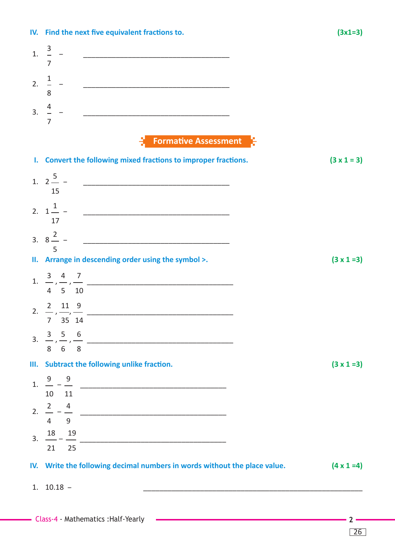

 $\sqrt{26}$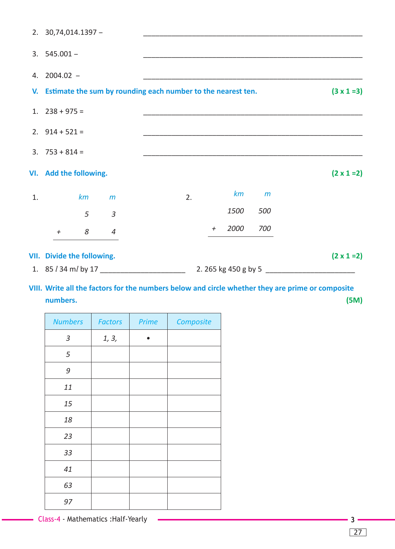|    | $2. 30,74,014.1397 -$      |    |                |                                                                 |    |     |      |              |                    |
|----|----------------------------|----|----------------|-----------------------------------------------------------------|----|-----|------|--------------|--------------------|
|    | $3.545.001 -$              |    |                |                                                                 |    |     |      |              |                    |
|    | 4. $2004.02 -$             |    |                |                                                                 |    |     |      |              |                    |
|    |                            |    |                | V. Estimate the sum by rounding each number to the nearest ten. |    |     |      |              | $(3 \times 1 = 3)$ |
|    | $1. \quad 238 + 975 =$     |    |                |                                                                 |    |     |      |              |                    |
|    | 2. $914 + 521 =$           |    |                |                                                                 |    |     |      |              |                    |
|    | $3.753 + 814 =$            |    |                |                                                                 |    |     |      |              |                    |
|    | VI. Add the following.     |    |                |                                                                 |    |     |      |              | $(2 \times 1=2)$   |
| 1. |                            | km | $\mathsf{m}$   |                                                                 | 2. |     | km   | $\mathsf{m}$ |                    |
|    |                            | 5  | $\overline{3}$ |                                                                 |    |     | 1500 | 500          |                    |
|    | $\overline{+}$             | 8  | $\overline{4}$ |                                                                 |    | $+$ | 2000 | 700          |                    |
|    | VII. Divide the following. |    |                |                                                                 |    |     |      |              | $(2 \times 1 = 2)$ |
|    |                            |    |                | 2. 265 kg 450 g by 5                                            |    |     |      |              |                    |

**VIII. Write all the factors for the numbers below and circle whether they are prime or composite numbers. (5M)**

| <b>Numbers</b> | <b>Factors</b> | Prime | Composite |
|----------------|----------------|-------|-----------|
| $\mathfrak{Z}$ | 1, 3,          |       |           |
| 5              |                |       |           |
| $\mathcal G$   |                |       |           |
| 11             |                |       |           |
| 15             |                |       |           |
| 18             |                |       |           |
| 23             |                |       |           |
| 33             |                |       |           |
| 41             |                |       |           |
| 63             |                |       |           |
| 97             |                |       |           |

27